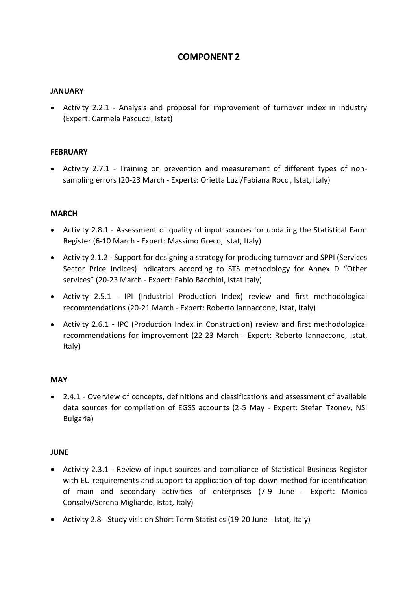# **COMPONENT 2**

### **JANUARY**

 Activity 2.2.1 - Analysis and proposal for improvement of turnover index in industry (Expert: Carmela Pascucci, Istat)

#### **FEBRUARY**

 Activity 2.7.1 - Training on prevention and measurement of different types of nonsampling errors (20-23 March - Experts: Orietta Luzi/Fabiana Rocci, Istat, Italy)

#### **MARCH**

- Activity 2.8.1 Assessment of quality of input sources for updating the Statistical Farm Register (6-10 March - Expert: Massimo Greco, Istat, Italy)
- Activity 2.1.2 Support for designing a strategy for producing turnover and SPPI (Services Sector Price Indices) indicators according to STS methodology for Annex D "Other services" (20-23 March - Expert: Fabio Bacchini, Istat Italy)
- Activity 2.5.1 IPI (Industrial Production Index) review and first methodological recommendations (20-21 March - Expert: Roberto Iannaccone, Istat, Italy)
- Activity 2.6.1 IPC (Production Index in Construction) review and first methodological recommendations for improvement (22-23 March - Expert: Roberto Iannaccone, Istat, Italy)

#### **MAY**

 2.4.1 - Overview of concepts, definitions and classifications and assessment of available data sources for compilation of EGSS accounts (2-5 May - Expert: Stefan Tzonev, NSI Bulgaria)

#### **JUNE**

- Activity 2.3.1 Review of input sources and compliance of Statistical Business Register with EU requirements and support to application of top-down method for identification of main and secondary activities of enterprises (7-9 June - Expert: Monica Consalvi/Serena Migliardo, Istat, Italy)
- Activity 2.8 Study visit on Short Term Statistics (19-20 June Istat, Italy)